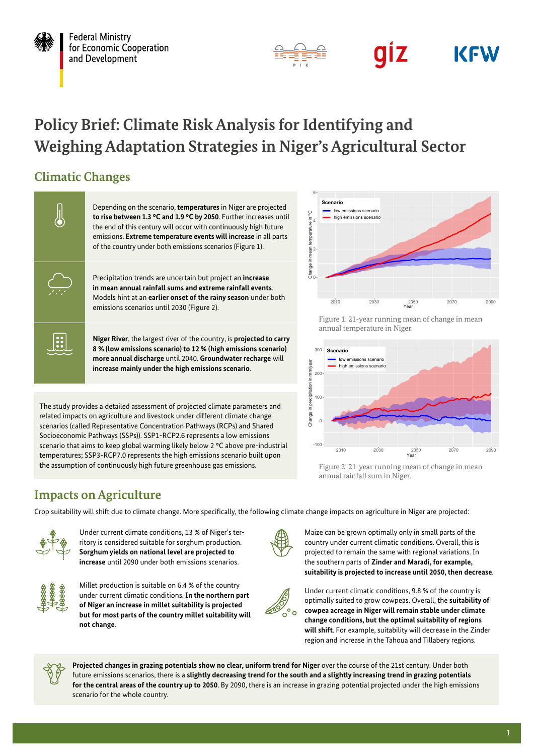

**Federal Ministry** for Economic Cooperation and Development



### giz **KFW**

# **Policy Brief: Climate Risk Analysis for Identifying and Weighing Adaptation Strategies in Niger's Agricultural Sector**

## **Climatic Changes**



The study provides a detailed assessment of projected climate parameters and related impacts on agriculture and livestock under different climate change scenarios (called Representative Concentration Pathways (RCPs) and Shared Socioeconomic Pathways (SSPs)). SSP1-RCP2.6 represents a low emissions scenario that aims to keep global warming likely below 2 °C above pre-industrial temperatures; SSP3-RCP7.0 represents the high emissions scenario built upon the assumption of continuously high future greenhouse gas emissions.

## **Impacts on Agriculture**

Crop suitability will shift due to climate change. More specifically, the following climate change impacts on agriculture in Niger are projected:



Under current climate conditions, 13 % of Niger's territory is considered suitable for sorghum production. **Sorghum yields on national level are projected to increase** until 2090 under both emissions scenarios.



Millet production is suitable on 6.4 % of the country under current climatic conditions. **In the northern part of Niger an increase in millet suitability is projected but for most parts of the country millet suitability will not change**.



Figure 1: 21-year running mean of change in mean annual temperature in Niger.



Figure 2: 21-year running mean of change in mean annual rainfall sum in Niger.

Maize can be grown optimally only in small parts of the country under current climatic conditions. Overall, this is projected to remain the same with regional variations. In the southern parts of **Zinder and Maradi, for example, suitability is projected to increase until 2050, then decrease**.



Under current climatic conditions, 9.8 % of the country is optimally suited to grow cowpeas. Overall, the **suitability of cowpea acreage in Niger will remain stable under climate change conditions, but the optimal suitability of regions will shift**. For example, suitability will decrease in the Zinder region and increase in the Tahoua and Tillabery regions.



**Projected changes in grazing potentials show no clear, uniform trend for Niger** over the course of the 21st century. Under both future emissions scenarios, there is a **slightly decreasing trend for the south and a slightly increasing trend in grazing potentials for the central areas of the country up to 2050**. By 2090, there is an increase in grazing potential projected under the high emissions scenario for the whole country.